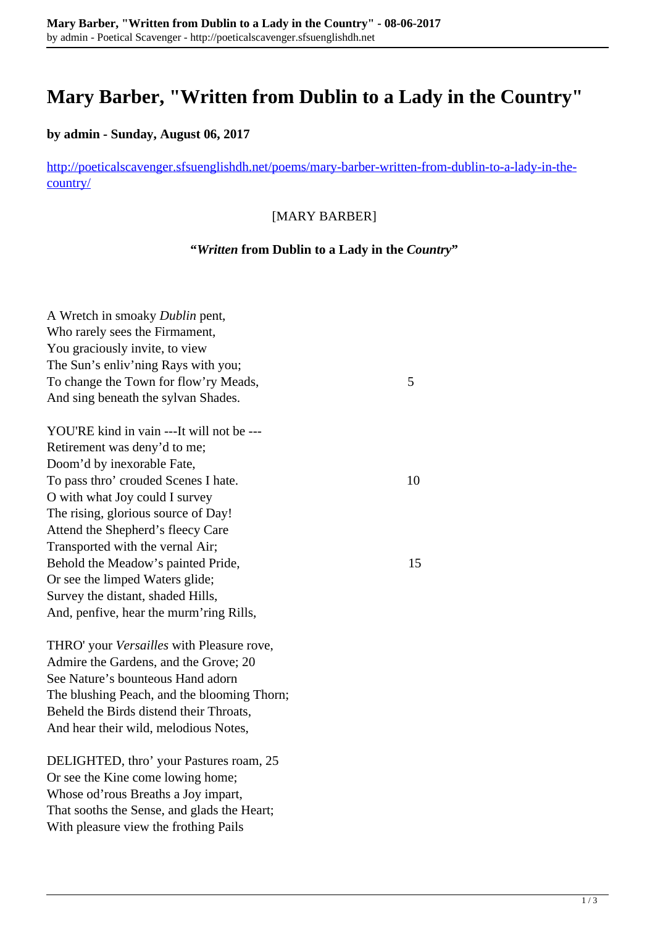# **Mary Barber, "Written from Dublin to a Lady in the Country"**

# **by admin - Sunday, August 06, 2017**

[http://poeticalscavenger.sfsuenglishdh.net/poems/mary-barber-written-from-dublin-to-a-lady-in-the](http://poeticalscavenger.sfsuenglishdh.net/poems/mary-barber-written-from-dublin-to-a-lady-in-the-country/)[country/](http://poeticalscavenger.sfsuenglishdh.net/poems/mary-barber-written-from-dublin-to-a-lady-in-the-country/)

#### [MARY BARBER]

## **"***Written* **from Dublin to a Lady in the** *Country***"**

| A Wretch in smoaky Dublin pent,             |    |
|---------------------------------------------|----|
| Who rarely sees the Firmament,              |    |
| You graciously invite, to view              |    |
| The Sun's enliv'ning Rays with you;         |    |
| To change the Town for flow'ry Meads,       | 5  |
| And sing beneath the sylvan Shades.         |    |
| YOU'RE kind in vain ---It will not be ---   |    |
| Retirement was deny'd to me;                |    |
| Doom'd by inexorable Fate,                  |    |
| To pass thro' crouded Scenes I hate.        | 10 |
| O with what Joy could I survey              |    |
| The rising, glorious source of Day!         |    |
| Attend the Shepherd's fleecy Care           |    |
| Transported with the vernal Air;            |    |
| Behold the Meadow's painted Pride,          | 15 |
| Or see the limped Waters glide;             |    |
| Survey the distant, shaded Hills,           |    |
| And, penfive, hear the murm'ring Rills,     |    |
| THRO' your Versailles with Pleasure rove,   |    |
| Admire the Gardens, and the Grove; 20       |    |
| See Nature's bounteous Hand adorn           |    |
| The blushing Peach, and the blooming Thorn; |    |
| Beheld the Birds distend their Throats,     |    |
| And hear their wild, melodious Notes,       |    |
| DELIGHTED, thro' your Pastures roam, 25     |    |
| Or see the Kine come lowing home;           |    |
| Whose od'rous Breaths a Joy impart,         |    |
| That sooths the Sense, and glads the Heart; |    |
| With pleasure view the frothing Pails       |    |
|                                             |    |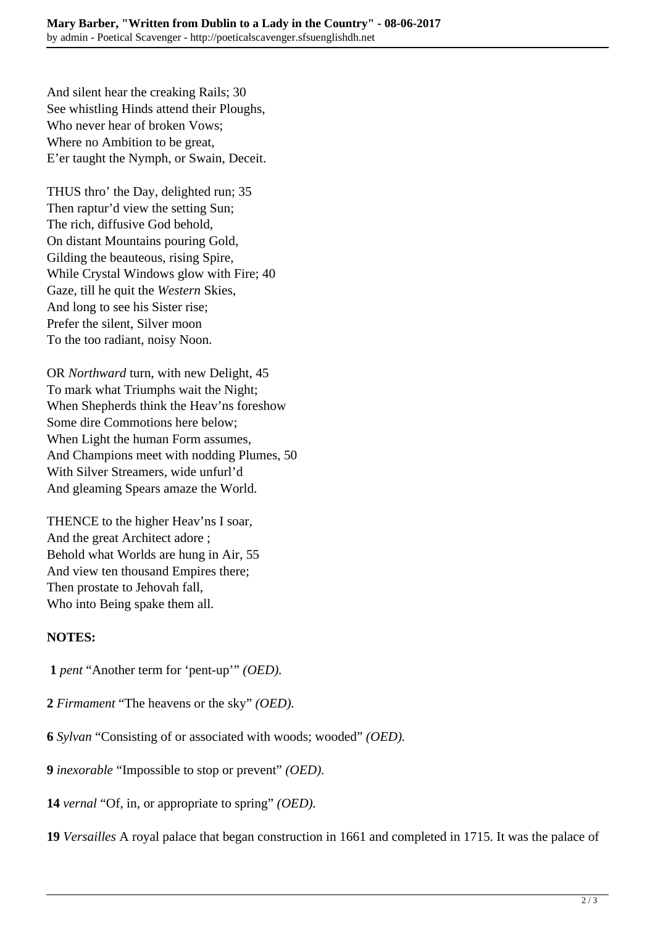And silent hear the creaking Rails; 30 See whistling Hinds attend their Ploughs, Who never hear of broken Vows; Where no Ambition to be great, E'er taught the Nymph, or Swain, Deceit.

THUS thro' the Day, delighted run; 35 Then raptur'd view the setting Sun; The rich, diffusive God behold, On distant Mountains pouring Gold, Gilding the beauteous, rising Spire, While Crystal Windows glow with Fire; 40 Gaze, till he quit the *Western* Skies, And long to see his Sister rise; Prefer the silent, Silver moon To the too radiant, noisy Noon.

OR *Northward* turn, with new Delight, 45 To mark what Triumphs wait the Night; When Shepherds think the Heav'ns foreshow Some dire Commotions here below; When Light the human Form assumes, And Champions meet with nodding Plumes, 50 With Silver Streamers, wide unfurl'd And gleaming Spears amaze the World.

THENCE to the higher Heav'ns I soar, And the great Architect adore ; Behold what Worlds are hung in Air, 55 And view ten thousand Empires there; Then prostate to Jehovah fall, Who into Being spake them all.

## **NOTES:**

- **1** *pent* "Another term for 'pent-up'" *(OED).*
- **2** *Firmament* "The heavens or the sky" *(OED).*
- **6** *Sylvan* "Consisting of or associated with woods; wooded" *(OED).*
- **9** *inexorable* "Impossible to stop or prevent" *(OED).*
- **14** *vernal* "Of, in, or appropriate to spring" *(OED).*
- **19** *Versailles* A royal palace that began construction in 1661 and completed in 1715. It was the palace of